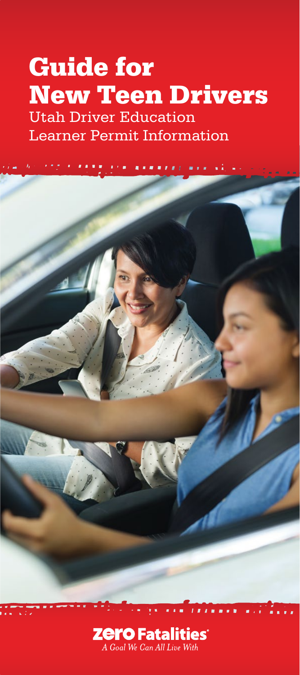# Guide for New Teen Drivers

Utah Driver Education Learner Permit Information



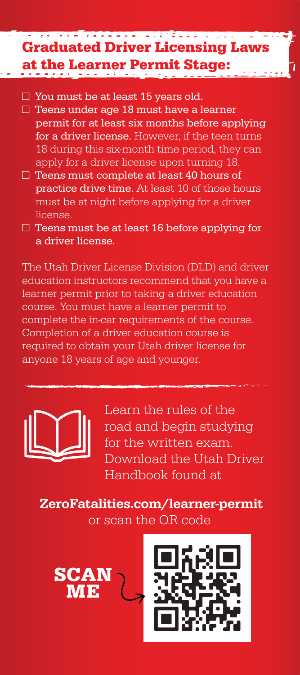#### - - - *- - - - - -* -<u>tan zing masa sa</u> Graduated Driver Licensing Laws at the Learner Permit Stage:

- $\Box$  You must be at least 15 years old.
- $\Box$  Teens under age 18 must have a learner permit for at least six months before applying for a driver license. However, if the teen turns 18 during this six-month time period, they can apply for a driver license upon turning 18.
- $\Box$  Teens must complete at least 40 hours of practice drive time. At least 10 of those hours must be at night before applying for a driver license.
- □ Teens must be at least 16 before applying for a driver license.

The Utah Driver License Division (DLD) and driver education instructors recommend that you have a learner permit prior to taking a driver education course. You must have a learner permit to complete the in-car requirements of the course. Completion of a driver education course is required to obtain your Utah driver license for anyone 18 years of age and younger.



Learn the rules of the road and begin studying for the written exam. Download the Utah Driver Handbook found at

ZeroFatalities.com/learner-permit or scan the QR code



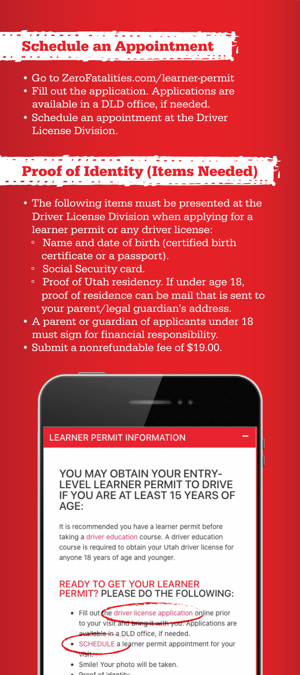## Schedule an Appointment

- Go to ZeroFatalities.com/learner-permit
- Fill out the application. Applications are available in a DLD office, if needed.
- Schedule an appointment at the Driver License Division.

#### <u> André de la companya de la partida </u> Proof of Identity (Items Needed)

- The following items must be presented at the Driver License Division when applying for a learner permit or any driver license:
	- ° Name and date of birth (certified birth certificate or a passport).
	- ° Social Security card.
	- ° Proof of Utah residency. If under age 18, proof of residence can be mail that is sent to your parent/legal guardian's address.
- A parent or guardian of applicants under 18 must sign for financial responsibility.
- Submit a nonrefundable fee of \$19.00.

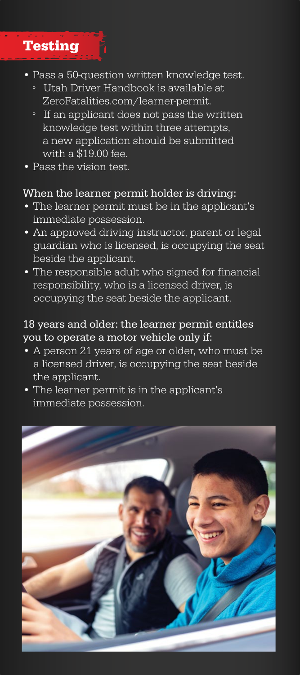

- Pass a 50-question written knowledge test.
	- ° Utah Driver Handbook is available at ZeroFatalities.com/learner-permit.
	- ° If an applicant does not pass the written knowledge test within three attempts, a new application should be submitted with a \$19.00 fee.
- Pass the vision test.

#### When the learner permit holder is driving:

- The learner permit must be in the applicant's immediate possession.
- An approved driving instructor, parent or legal guardian who is licensed, is occupying the seat beside the applicant.
- The responsible adult who signed for financial responsibility, who is a licensed driver, is occupying the seat beside the applicant.

#### 18 years and older: the learner permit entitles you to operate a motor vehicle only if:

- A person 21 years of age or older, who must be a licensed driver, is occupying the seat beside the applicant.
- The learner permit is in the applicant's immediate possession.

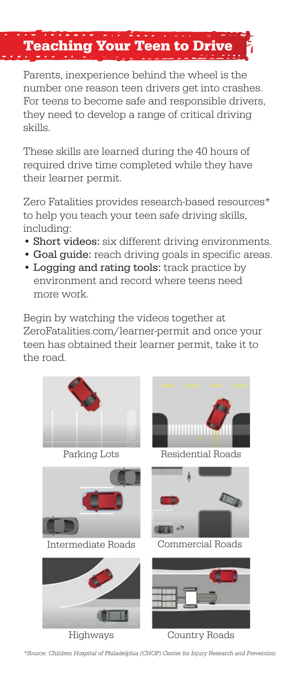### Teaching Your Teen to Drive

Parents, inexperience behind the wheel is the number one reason teen drivers get into crashes. For teens to become safe and responsible drivers, they need to develop a range of critical driving skills.

These skills are learned during the 40 hours of required drive time completed while they have their learner permit.

Zero Fatalities provides research-based resources\* to help you teach your teen safe driving skills, including:

- Short videos: six different driving environments.
- Goal guide: reach driving goals in specific areas.
- Logging and rating tools: track practice by environment and record where teens need more work.

Begin by watching the videos together at ZeroFatalities.com/learner-permit and once your teen has obtained their learner permit, take it to the road.



\*Source: Children Hospital of Philadelphia (CHOP) Center for Injury Research and Prevention